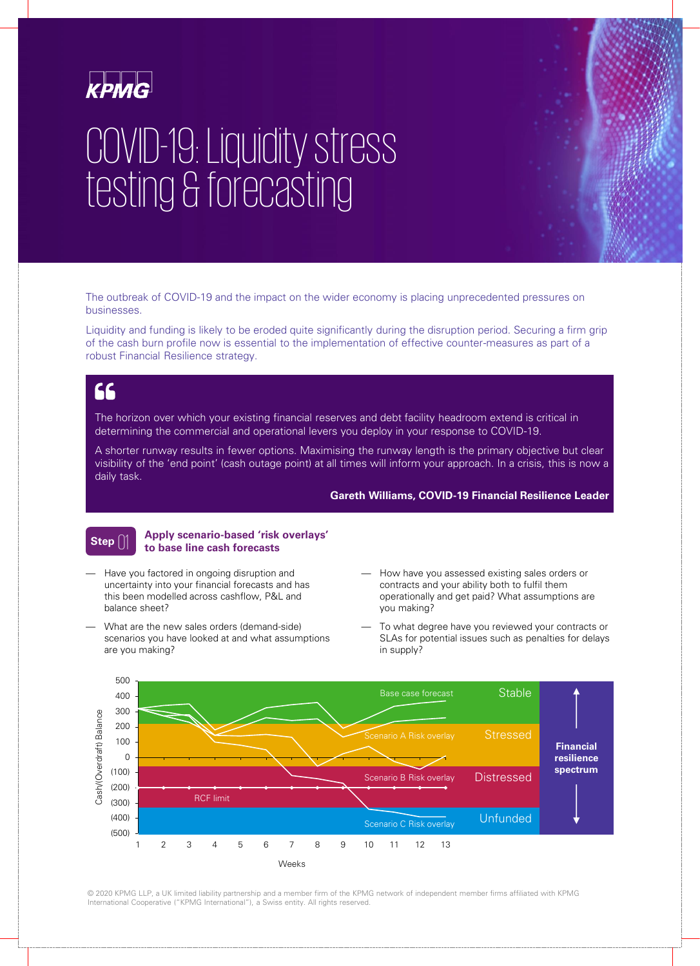

# COVID-19: Liquidity stress testing & forecasting

The outbreak of COVID-19 and the impact on the wider economy is placing unprecedented pressures on businesses.

Liquidity and funding is likely to be eroded quite significantly during the disruption period. Securing a firm grip of the cash burn profile now is essential to the implementation of effective counter-measures as part of a robust Financial Resilience strategy.

### **AA**

The horizon over which your existing financial reserves and debt facility headroom extend is critical in determining the commercial and operational levers you deploy in your response to COVID-19.

A shorter runway results in fewer options. Maximising the runway length is the primary objective but clear visibility of the 'end point' (cash outage point) at all times will inform your approach. In a crisis, this is now a daily task.

#### **Gareth Williams, COVID-19 Financial Resilience Leader**

### **Step**

#### 01 **Apply scenario-based 'risk overlays' to base line cash forecasts**

- Have you factored in ongoing disruption and uncertainty into your financial forecasts and has this been modelled across cashflow, P&L and balance sheet?
- What are the new sales orders (demand-side) scenarios you have looked at and what assumptions are you making?
- How have you assessed existing sales orders or contracts and your ability both to fulfil them operationally and get paid? What assumptions are you making?
- To what degree have you reviewed your contracts or SLAs for potential issues such as penalties for delays in supply?



© 2020 KPMG LLP, a UK limited liability partnership and a member firm of the KPMG network of independent member firms affiliated with KPMG International Cooperative ("KPMG International"), a Swiss entity. All rights reserved.